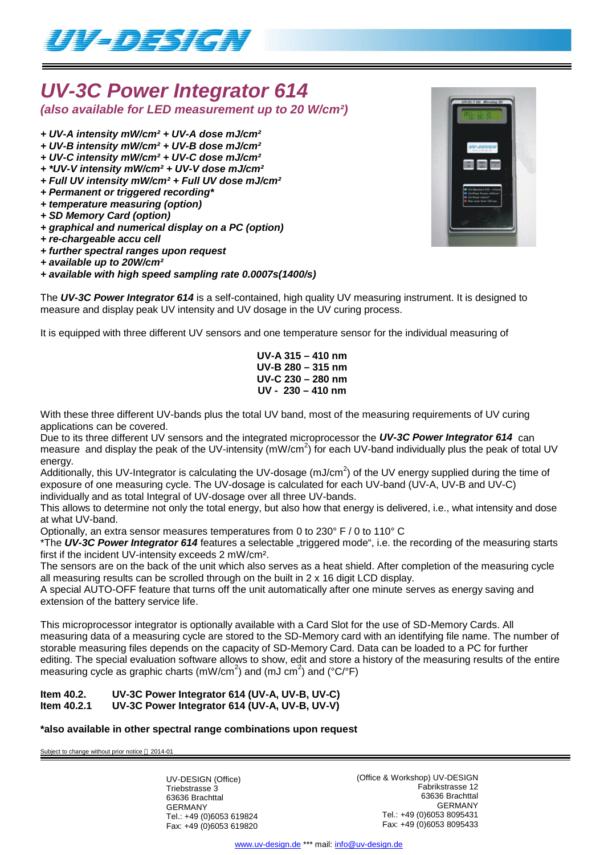

## *UV-3C Power Integrator 614 (also available for LED measurement up to 20 W/cm²)*

- *+ UV-A intensity mW/cm² + UV-A dose mJ/cm²*
- *+ UV-B intensity mW/cm² + UV-B dose mJ/cm²*
- *+ UV-C intensity mW/cm² + UV-C dose mJ/cm²*
- *+ \*UV-V intensity mW/cm² + UV-V dose mJ/cm²*
- *+ Full UV intensity mW/cm² + Full UV dose mJ/cm²*
- *+ Permanent or triggered recording\**
- *+ temperature measuring (option)*
- *+ SD Memory Card (option)*
- *+ graphical and numerical display on a PC (option)*
- *+ re-chargeable accu cell*
- *+ further spectral ranges upon request*
- *+ available up to 20W/cm²*

### *+ available with high speed sampling rate 0.0007s(1400/s)*

The *UV-3C Power Integrator 614* is a self-contained, high quality UV measuring instrument. It is designed to measure and display peak UV intensity and UV dosage in the UV curing process.

It is equipped with three different UV sensors and one temperature sensor for the individual measuring of

**UV-A 315 – 410 nm UV-B 280 – 315 nm UV-C 230 – 280 nm UV - 230 – 410 nm**

With these three different UV-bands plus the total UV band, most of the measuring requirements of UV curing applications can be covered.

Due to its three different UV sensors and the integrated microprocessor the *UV-3C Power Integrator 614* can measure and display the peak of the UV-intensity (mW/cm<sup>2</sup>) for each UV-band individually plus the peak of total UV energy.

Additionally, this UV-Integrator is calculating the UV-dosage (mJ/cm<sup>2</sup>) of the UV energy supplied during the time of exposure of one measuring cycle. The UV-dosage is calculated for each UV-band (UV-A, UV-B and UV-C) individually and as total Integral of UV-dosage over all three UV-bands.

This allows to determine not only the total energy, but also how that energy is delivered, i.e., what intensity and dose at what UV-band.

Optionally, an extra sensor measures temperatures from 0 to 230° F / 0 to 110° C

\*The UV-3C Power Integrator 614 features a selectable "triggered mode", i.e. the recording of the measuring starts first if the incident UV-intensity exceeds 2 mW/cm².

The sensors are on the back of the unit which also serves as a heat shield. After completion of the measuring cycle all measuring results can be scrolled through on the built in  $2 \times 16$  digit LCD display.

A special AUTO-OFF feature that turns off the unit automatically after one minute serves as energy saving and extension of the battery service life.

This microprocessor integrator is optionally available with a Card Slot for the use of SD-Memory Cards. All measuring data of a measuring cycle are stored to the SD-Memory card with an identifying file name. The number of storable measuring files depends on the capacity of SD-Memory Card. Data can be loaded to a PC for further editing. The special evaluation software allows to show, edit and store a history of the measuring results of the entire measuring cycle as graphic charts (mW/cm<sup>2</sup>) and (mJ cm<sup>2</sup>) and (°C/°F)

#### **Item 40.2. UV-3C Power Integrator 614 (UV-A, UV-B, UV-C) Item 40.2.1 UV-3C Power Integrator 614 (UV-A, UV-B, UV-V)**

### **\*also available in other spectral range combinations upon request**

Subject to change without prior notice  $@$  2014-01

UV-DESIGN (Office) Triebstrasse 3 63636 Brachttal GERMANY Tel.: +49 (0)6053 619824 Fax: +49 (0)6053 619820

(Office & Workshop) UV-DESIGN Fabrikstrasse 12 63636 Brachttal GERMANY Tel.: +49 (0)6053 8095431 Fax: +49 (0)6053 8095433